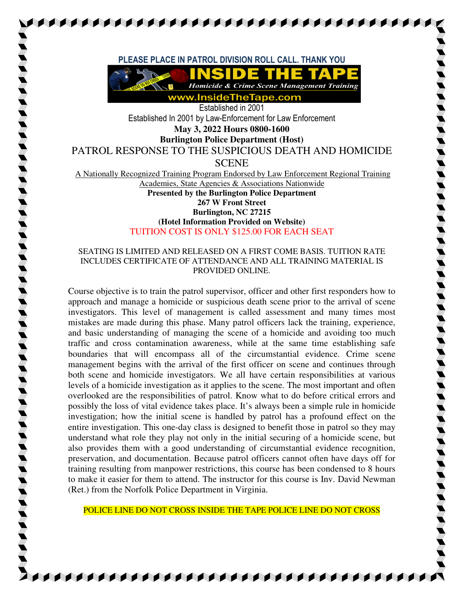**PLEASE PLACE IN PATROL DIVISION ROLL CALL. THANK YOU** 



Established in 2001 Established In 2001 by Law-Enforcement for Law Enforcement **May 3, 2022 Hours 0800-1600 Burlington Police Department (Host)** 

PATROL RESPONSE TO THE SUSPICIOUS DEATH AND HOMICIDE SCENE

A Nationally Recognized Training Program Endorsed by Law Enforcement Regional Training Academies, State Agencies & Associations Nationwide **Presented by the Burlington Police Department** 

## **267 W Front Street Burlington, NC 27215 (Hotel Information Provided on Website)** TUITION COST IS ONLY \$125.00 FOR EACH SEAT

## SEATING IS LIMITED AND RELEASED ON A FIRST COME BASIS. TUITION RATE INCLUDES CERTIFICATE OF ATTENDANCE AND ALL TRAINING MATERIAL IS PROVIDED ONLINE.

Course objective is to train the patrol supervisor, officer and other first responders how to approach and manage a homicide or suspicious death scene prior to the arrival of scene investigators. This level of management is called assessment and many times most mistakes are made during this phase. Many patrol officers lack the training, experience, and basic understanding of managing the scene of a homicide and avoiding too much traffic and cross contamination awareness, while at the same time establishing safe boundaries that will encompass all of the circumstantial evidence. Crime scene management begins with the arrival of the first officer on scene and continues through both scene and homicide investigators. We all have certain responsibilities at various levels of a homicide investigation as it applies to the scene. The most important and often overlooked are the responsibilities of patrol. Know what to do before critical errors and possibly the loss of vital evidence takes place. It's always been a simple rule in homicide investigation; how the initial scene is handled by patrol has a profound effect on the entire investigation. This one-day class is designed to benefit those in patrol so they may understand what role they play not only in the initial securing of a homicide scene, but also provides them with a good understanding of circumstantial evidence recognition, preservation, and documentation. Because patrol officers cannot often have days off for training resulting from manpower restrictions, this course has been condensed to 8 hours to make it easier for them to attend. The instructor for this course is Inv. David Newman (Ret.) from the Norfolk Police Department in Virginia.

POLICE LINE DO NOT CROSS INSIDE THE TAPE POLICE LINE DO NOT CROSS

**AAAAAAAAAAAAAAA**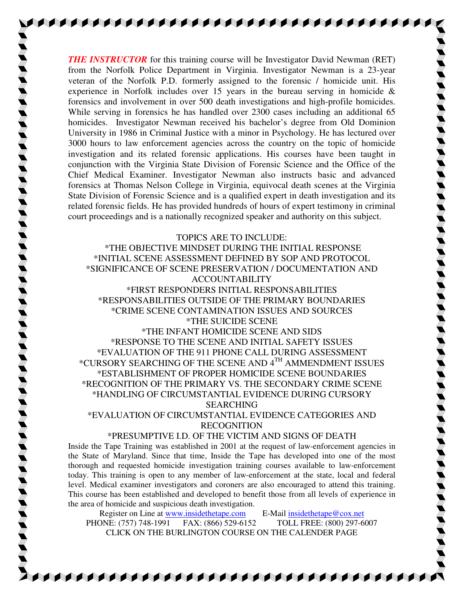*THE INSTRUCTOR* for this training course will be Investigator David Newman (RET) from the Norfolk Police Department in Virginia. Investigator Newman is a 23-year veteran of the Norfolk P.D. formerly assigned to the forensic / homicide unit. His experience in Norfolk includes over 15 years in the bureau serving in homicide & forensics and involvement in over 500 death investigations and high-profile homicides. While serving in forensics he has handled over 2300 cases including an additional 65 homicides. Investigator Newman received his bachelor's degree from Old Dominion University in 1986 in Criminal Justice with a minor in Psychology. He has lectured over 3000 hours to law enforcement agencies across the country on the topic of homicide investigation and its related forensic applications. His courses have been taught in conjunction with the Virginia State Division of Forensic Science and the Office of the Chief Medical Examiner. Investigator Newman also instructs basic and advanced forensics at Thomas Nelson College in Virginia, equivocal death scenes at the Virginia State Division of Forensic Science and is a qualified expert in death investigation and its related forensic fields. He has provided hundreds of hours of expert testimony in criminal court proceedings and is a nationally recognized speaker and authority on this subject.

**AAAAAAAAAAAAAAAAAAAAAAAAAAAAAA** 

TOPICS ARE TO INCLUDE: \*THE OBJECTIVE MINDSET DURING THE INITIAL RESPONSE \*INITIAL SCENE ASSESSMENT DEFINED BY SOP AND PROTOCOL \*SIGNIFICANCE OF SCENE PRESERVATION / DOCUMENTATION AND ACCOUNTABILITY \*FIRST RESPONDERS INITIAL RESPONSABILITIES \*RESPONSABILITIES OUTSIDE OF THE PRIMARY BOUNDARIES \*CRIME SCENE CONTAMINATION ISSUES AND SOURCES \*THE SUICIDE SCENE \*THE INFANT HOMICIDE SCENE AND SIDS \*RESPONSE TO THE SCENE AND INITIAL SAFETY ISSUES \*EVALUATION OF THE 911 PHONE CALL DURING ASSESSMENT

\*CURSORY SEARCHING OF THE SCENE AND 4TH AMMENDMENT ISSUES \*ESTABLISHMENT OF PROPER HOMICIDE SCENE BOUNDARIES \*RECOGNITION OF THE PRIMARY VS. THE SECONDARY CRIME SCENE \*HANDLING OF CIRCUMSTANTIAL EVIDENCE DURING CURSORY SEARCHING

\*EVALUATION OF CIRCUMSTANTIAL EVIDENCE CATEGORIES AND RECOGNITION

## \*PRESUMPTIVE I.D. OF THE VICTIM AND SIGNS OF DEATH

Inside the Tape Training was established in 2001 at the request of law-enforcement agencies in the State of Maryland. Since that time, Inside the Tape has developed into one of the most thorough and requested homicide investigation training courses available to law-enforcement today. This training is open to any member of law-enforcement at the state, local and federal level. Medical examiner investigators and coroners are also encouraged to attend this training. This course has been established and developed to benefit those from all levels of experience in the area of homicide and suspicious death investigation.

Register on Line at www.insidethetape.com E-Mail insidethetape@cox.net PHONE: (757) 748-1991 FAX: (866) 529-6152 TOLL FREE: (800) 297-6007 CLICK ON THE BURLINGTON COURSE ON THE CALENDER PAGE

**A BERTAL A BERTAL A BERTAL A BERTAL A BERTAL A BERTAL A BERTAL A BERTAL A BERTAL A BERTAL A BERTAL A BERTAL A**